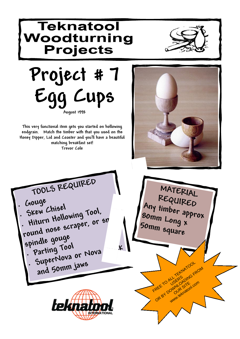